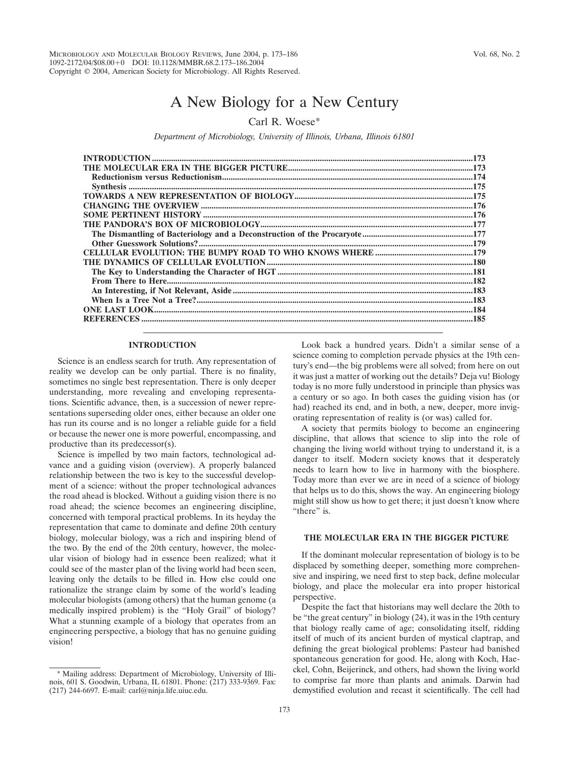# A New Biology for a New Century

Carl R. Woese\*

*Department of Microbiology, University of Illinois, Urbana, Illinois 61801*

## **INTRODUCTION**

Science is an endless search for truth. Any representation of reality we develop can be only partial. There is no finality, sometimes no single best representation. There is only deeper understanding, more revealing and enveloping representations. Scientific advance, then, is a succession of newer representations superseding older ones, either because an older one has run its course and is no longer a reliable guide for a field or because the newer one is more powerful, encompassing, and productive than its predecessor(s).

Science is impelled by two main factors, technological advance and a guiding vision (overview). A properly balanced relationship between the two is key to the successful development of a science: without the proper technological advances the road ahead is blocked. Without a guiding vision there is no road ahead; the science becomes an engineering discipline, concerned with temporal practical problems. In its heyday the representation that came to dominate and define 20th century biology, molecular biology, was a rich and inspiring blend of the two. By the end of the 20th century, however, the molecular vision of biology had in essence been realized; what it could see of the master plan of the living world had been seen, leaving only the details to be filled in. How else could one rationalize the strange claim by some of the world's leading molecular biologists (among others) that the human genome (a medically inspired problem) is the "Holy Grail" of biology? What a stunning example of a biology that operates from an engineering perspective, a biology that has no genuine guiding vision!

Look back a hundred years. Didn't a similar sense of a science coming to completion pervade physics at the 19th century's end—the big problems were all solved; from here on out it was just a matter of working out the details? Deja vu! Biology today is no more fully understood in principle than physics was a century or so ago. In both cases the guiding vision has (or had) reached its end, and in both, a new, deeper, more invigorating representation of reality is (or was) called for.

A society that permits biology to become an engineering discipline, that allows that science to slip into the role of changing the living world without trying to understand it, is a danger to itself. Modern society knows that it desperately needs to learn how to live in harmony with the biosphere. Today more than ever we are in need of a science of biology that helps us to do this, shows the way. An engineering biology might still show us how to get there; it just doesn't know where "there" is.

### **THE MOLECULAR ERA IN THE BIGGER PICTURE**

If the dominant molecular representation of biology is to be displaced by something deeper, something more comprehensive and inspiring, we need first to step back, define molecular biology, and place the molecular era into proper historical perspective.

Despite the fact that historians may well declare the 20th to be "the great century" in biology (24), it was in the 19th century that biology really came of age; consolidating itself, ridding itself of much of its ancient burden of mystical claptrap, and defining the great biological problems: Pasteur had banished spontaneous generation for good. He, along with Koch, Haeckel, Cohn, Beijerinck, and others, had shown the living world to comprise far more than plants and animals. Darwin had demystified evolution and recast it scientifically. The cell had

<sup>\*</sup> Mailing address: Department of Microbiology, University of Illinois, 601 S. Goodwin, Urbana, IL 61801. Phone: (217) 333-9369. Fax: (217) 244-6697. E-mail: carl@ninja.life.uiuc.edu.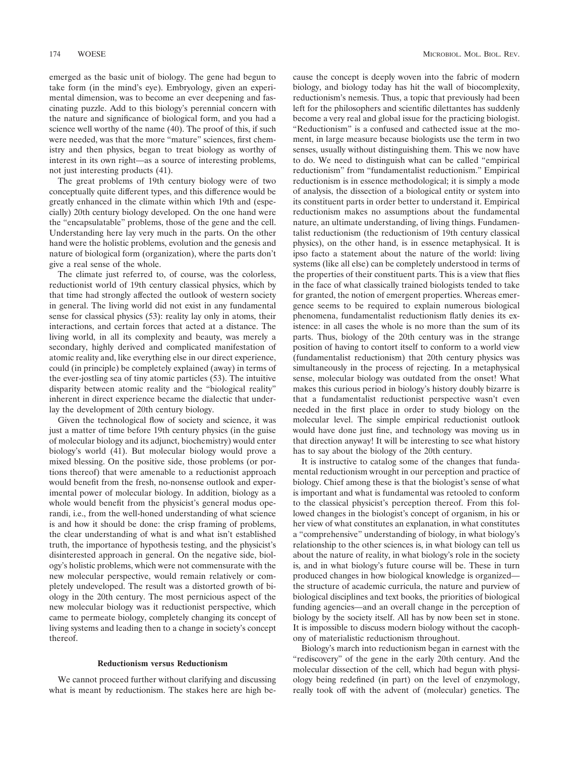emerged as the basic unit of biology. The gene had begun to take form (in the mind's eye). Embryology, given an experimental dimension, was to become an ever deepening and fascinating puzzle. Add to this biology's perennial concern with the nature and significance of biological form, and you had a science well worthy of the name (40). The proof of this, if such were needed, was that the more "mature" sciences, first chemistry and then physics, began to treat biology as worthy of interest in its own right—as a source of interesting problems, not just interesting products (41).

The great problems of 19th century biology were of two conceptually quite different types, and this difference would be greatly enhanced in the climate within which 19th and (especially) 20th century biology developed. On the one hand were the "encapsulatable" problems, those of the gene and the cell. Understanding here lay very much in the parts. On the other hand were the holistic problems, evolution and the genesis and nature of biological form (organization), where the parts don't give a real sense of the whole.

The climate just referred to, of course, was the colorless, reductionist world of 19th century classical physics, which by that time had strongly affected the outlook of western society in general. The living world did not exist in any fundamental sense for classical physics (53): reality lay only in atoms, their interactions, and certain forces that acted at a distance. The living world, in all its complexity and beauty, was merely a secondary, highly derived and complicated manifestation of atomic reality and, like everything else in our direct experience, could (in principle) be completely explained (away) in terms of the ever-jostling sea of tiny atomic particles (53). The intuitive disparity between atomic reality and the "biological reality" inherent in direct experience became the dialectic that underlay the development of 20th century biology.

Given the technological flow of society and science, it was just a matter of time before 19th century physics (in the guise of molecular biology and its adjunct, biochemistry) would enter biology's world (41). But molecular biology would prove a mixed blessing. On the positive side, those problems (or portions thereof) that were amenable to a reductionist approach would benefit from the fresh, no-nonsense outlook and experimental power of molecular biology. In addition, biology as a whole would benefit from the physicist's general modus operandi, i.e., from the well-honed understanding of what science is and how it should be done: the crisp framing of problems, the clear understanding of what is and what isn't established truth, the importance of hypothesis testing, and the physicist's disinterested approach in general. On the negative side, biology's holistic problems, which were not commensurate with the new molecular perspective, would remain relatively or completely undeveloped. The result was a distorted growth of biology in the 20th century. The most pernicious aspect of the new molecular biology was it reductionist perspective, which came to permeate biology, completely changing its concept of living systems and leading then to a change in society's concept thereof.

## **Reductionism versus Reductionism**

We cannot proceed further without clarifying and discussing what is meant by reductionism. The stakes here are high because the concept is deeply woven into the fabric of modern biology, and biology today has hit the wall of biocomplexity, reductionism's nemesis. Thus, a topic that previously had been left for the philosophers and scientific dilettantes has suddenly become a very real and global issue for the practicing biologist. "Reductionism" is a confused and cathected issue at the moment, in large measure because biologists use the term in two senses, usually without distinguishing them. This we now have to do. We need to distinguish what can be called "empirical reductionism" from "fundamentalist reductionism." Empirical reductionism is in essence methodological; it is simply a mode of analysis, the dissection of a biological entity or system into its constituent parts in order better to understand it. Empirical reductionism makes no assumptions about the fundamental nature, an ultimate understanding, of living things. Fundamentalist reductionism (the reductionism of 19th century classical physics), on the other hand, is in essence metaphysical. It is ipso facto a statement about the nature of the world: living systems (like all else) can be completely understood in terms of the properties of their constituent parts. This is a view that flies in the face of what classically trained biologists tended to take for granted, the notion of emergent properties. Whereas emergence seems to be required to explain numerous biological phenomena, fundamentalist reductionism flatly denies its existence: in all cases the whole is no more than the sum of its parts. Thus, biology of the 20th century was in the strange position of having to contort itself to conform to a world view (fundamentalist reductionism) that 20th century physics was simultaneously in the process of rejecting. In a metaphysical sense, molecular biology was outdated from the onset! What makes this curious period in biology's history doubly bizarre is that a fundamentalist reductionist perspective wasn't even needed in the first place in order to study biology on the molecular level. The simple empirical reductionist outlook would have done just fine, and technology was moving us in that direction anyway! It will be interesting to see what history has to say about the biology of the 20th century.

It is instructive to catalog some of the changes that fundamental reductionism wrought in our perception and practice of biology. Chief among these is that the biologist's sense of what is important and what is fundamental was retooled to conform to the classical physicist's perception thereof. From this followed changes in the biologist's concept of organism, in his or her view of what constitutes an explanation, in what constitutes a "comprehensive" understanding of biology, in what biology's relationship to the other sciences is, in what biology can tell us about the nature of reality, in what biology's role in the society is, and in what biology's future course will be. These in turn produced changes in how biological knowledge is organized the structure of academic curricula, the nature and purview of biological disciplines and text books, the priorities of biological funding agencies—and an overall change in the perception of biology by the society itself. All has by now been set in stone. It is impossible to discuss modern biology without the cacophony of materialistic reductionism throughout.

Biology's march into reductionism began in earnest with the "rediscovery" of the gene in the early 20th century. And the molecular dissection of the cell, which had begun with physiology being redefined (in part) on the level of enzymology, really took off with the advent of (molecular) genetics. The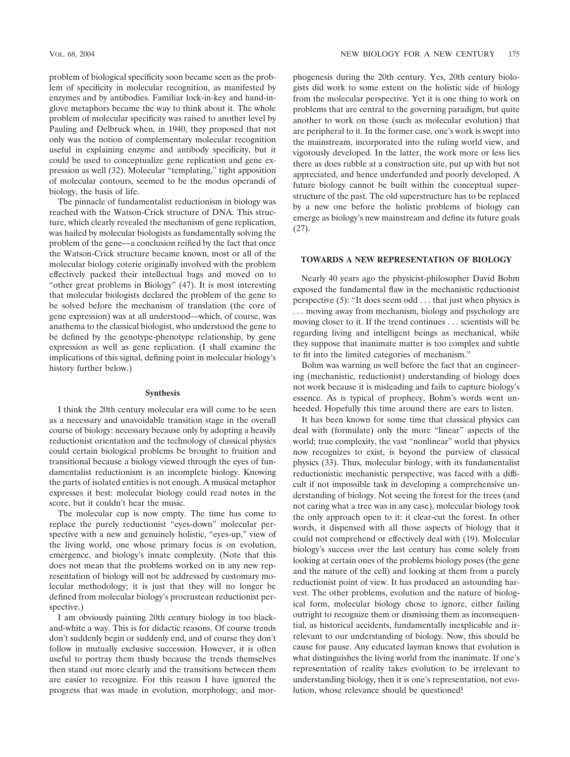problem of biological specificity soon became seen as the problem of specificity in molecular recognition, as manifested by enzymes and by antibodies. Familiar lock-in-key and hand-inglove metaphors became the way to think about it. The whole problem of molecular specificity was raised to another level by Pauling and Delbruck when, in 1940, they proposed that not only was the notion of complementary molecular recognition useful in explaining enzyme and antibody specificity, but it could be used to conceptualize gene replication and gene expression as well (32). Molecular "templating," tight apposition of molecular contours, seemed to be the modus operandi of biology, the basis of life.

The pinnacle of fundamentalist reductionism in biology was reached with the Watson-Crick structure of DNA. This structure, which clearly revealed the mechanism of gene replication, was hailed by molecular biologists as fundamentally solving the problem of the gene—a conclusion reified by the fact that once the Watson-Crick structure became known, most or all of the molecular biology coterie originally involved with the problem effectively packed their intellectual bags and moved on to "other great problems in Biology" (47). It is most interesting that molecular biologists declared the problem of the gene to be solved before the mechanism of translation (the core of gene expression) was at all understood—which, of course, was anathema to the classical biologist, who understood the gene to be defined by the genotype-phenotype relationship, by gene expression as well as gene replication. (I shall examine the implications of this signal, defining point in molecular biology's history further below.)

## **Synthesis**

I think the 20th century molecular era will come to be seen as a necessary and unavoidable transition stage in the overall course of biology: necessary because only by adopting a heavily reductionist orientation and the technology of classical physics could certain biological problems be brought to fruition and transitional because a biology viewed through the eyes of fundamentalist reductionism is an incomplete biology. Knowing the parts of isolated entities is not enough. A musical metaphor expresses it best: molecular biology could read notes in the score, but it couldn't hear the music.

The molecular cup is now empty. The time has come to replace the purely reductionist "eyes-down" molecular perspective with a new and genuinely holistic, "eyes-up," view of the living world, one whose primary focus is on evolution, emergence, and biology's innate complexity. (Note that this does not mean that the problems worked on in any new representation of biology will not be addressed by customary molecular methodology; it is just that they will no longer be defined from molecular biology's procrustean reductionist perspective.)

I am obviously painting 20th century biology in too blackand-white a way. This is for didactic reasons. Of course trends don't suddenly begin or suddenly end, and of course they don't follow in mutually exclusive succession. However, it is often useful to portray them thusly because the trends themselves then stand out more clearly and the transitions between them are easier to recognize. For this reason I have ignored the progress that was made in evolution, morphology, and morphogenesis during the 20th century. Yes, 20th century biologists did work to some extent on the holistic side of biology from the molecular perspective. Yet it is one thing to work on problems that are central to the governing paradigm, but quite another to work on those (such as molecular evolution) that are peripheral to it. In the former case, one's work is swept into the mainstream, incorporated into the ruling world view, and vigorously developed. In the latter, the work more or less lies there as does rubble at a construction site, put up with but not appreciated, and hence underfunded and poorly developed. A future biology cannot be built within the conceptual superstructure of the past. The old superstructure has to be replaced by a new one before the holistic problems of biology can emerge as biology's new mainstream and define its future goals (27).

## **TOWARDS A NEW REPRESENTATION OF BIOLOGY**

Nearly 40 years ago the physicist-philosopher David Bohm exposed the fundamental flaw in the mechanistic reductionist perspective (5): "It does seem odd . . . that just when physics is . . . moving away from mechanism, biology and psychology are moving closer to it. If the trend continues . . . scientists will be regarding living and intelligent beings as mechanical, while they suppose that inanimate matter is too complex and subtle to fit into the limited categories of mechanism."

Bohm was warning us well before the fact that an engineering (mechanistic, reductionist) understanding of biology does not work because it is misleading and fails to capture biology's essence. As is typical of prophecy, Bohm's words went unheeded. Hopefully this time around there are ears to listen.

It has been known for some time that classical physics can deal with (formulate) only the more "linear" aspects of the world; true complexity, the vast "nonlinear" world that physics now recognizes to exist, is beyond the purview of classical physics (33). Thus, molecular biology, with its fundamentalist reductionistic mechanistic perspective, was faced with a difficult if not impossible task in developing a comprehensive understanding of biology. Not seeing the forest for the trees (and not caring what a tree was in any case), molecular biology took the only approach open to it: it clear-cut the forest. In other words, it dispensed with all those aspects of biology that it could not comprehend or effectively deal with (19). Molecular biology's success over the last century has come solely from looking at certain ones of the problems biology poses (the gene and the nature of the cell) and looking at them from a purely reductionist point of view. It has produced an astounding harvest. The other problems, evolution and the nature of biological form, molecular biology chose to ignore, either failing outright to recognize them or dismissing them as inconsequential, as historical accidents, fundamentally inexplicable and irrelevant to our understanding of biology. Now, this should be cause for pause. Any educated layman knows that evolution is what distinguishes the living world from the inanimate. If one's representation of reality takes evolution to be irrelevant to understanding biology, then it is one's representation, not evolution, whose relevance should be questioned!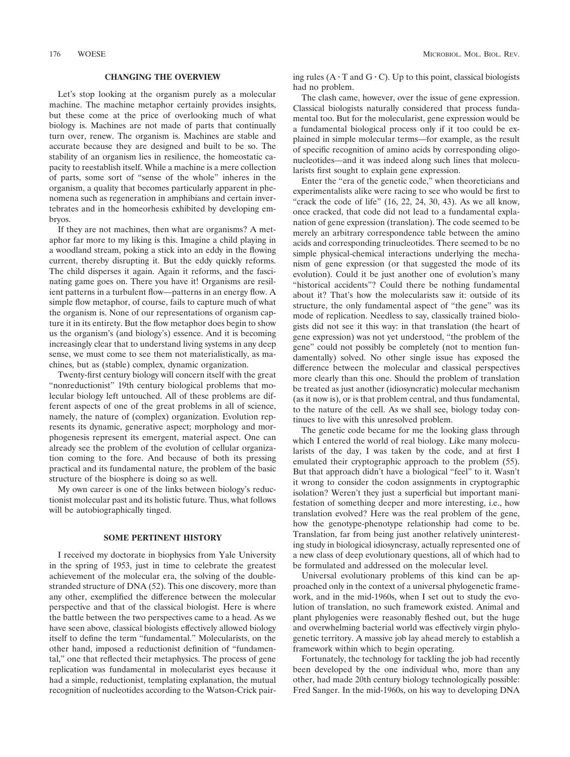### **CHANGING THE OVERVIEW**

Let's stop looking at the organism purely as a molecular machine. The machine metaphor certainly provides insights, but these come at the price of overlooking much of what biology is. Machines are not made of parts that continually turn over, renew. The organism is. Machines are stable and accurate because they are designed and built to be so. The stability of an organism lies in resilience, the homeostatic capacity to reestablish itself. While a machine is a mere collection of parts, some sort of "sense of the whole" inheres in the organism, a quality that becomes particularly apparent in phenomena such as regeneration in amphibians and certain invertebrates and in the homeorhesis exhibited by developing embryos.

If they are not machines, then what are organisms? A metaphor far more to my liking is this. Imagine a child playing in a woodland stream, poking a stick into an eddy in the flowing current, thereby disrupting it. But the eddy quickly reforms. The child disperses it again. Again it reforms, and the fascinating game goes on. There you have it! Organisms are resilient patterns in a turbulent flow—patterns in an energy flow. A simple flow metaphor, of course, fails to capture much of what the organism is. None of our representations of organism capture it in its entirety. But the flow metaphor does begin to show us the organism's (and biology's) essence. And it is becoming increasingly clear that to understand living systems in any deep sense, we must come to see them not materialistically, as machines, but as (stable) complex, dynamic organization.

Twenty-first century biology will concern itself with the great "nonreductionist" 19th century biological problems that molecular biology left untouched. All of these problems are different aspects of one of the great problems in all of science, namely, the nature of (complex) organization. Evolution represents its dynamic, generative aspect; morphology and morphogenesis represent its emergent, material aspect. One can already see the problem of the evolution of cellular organization coming to the fore. And because of both its pressing practical and its fundamental nature, the problem of the basic structure of the biosphere is doing so as well.

My own career is one of the links between biology's reductionist molecular past and its holistic future. Thus, what follows will be autobiographically tinged.

## **SOME PERTINENT HISTORY**

I received my doctorate in biophysics from Yale University in the spring of 1953, just in time to celebrate the greatest achievement of the molecular era, the solving of the doublestranded structure of DNA (52). This one discovery, more than any other, exemplified the difference between the molecular perspective and that of the classical biologist. Here is where the battle between the two perspectives came to a head. As we have seen above, classical biologists effectively allowed biology itself to define the term "fundamental." Molecularists, on the other hand, imposed a reductionist definition of "fundamental," one that reflected their metaphysics. The process of gene replication was fundamental in molecularist eyes because it had a simple, reductionist, templating explanation, the mutual recognition of nucleotides according to the Watson-Crick pairing rules  $(A \cdot T \text{ and } G \cdot C)$ . Up to this point, classical biologists had no problem.

The clash came, however, over the issue of gene expression. Classical biologists naturally considered that process fundamental too. But for the molecularist, gene expression would be a fundamental biological process only if it too could be explained in simple molecular terms—for example, as the result of specific recognition of amino acids by corresponding oligonucleotides—and it was indeed along such lines that molecularists first sought to explain gene expression.

Enter the "era of the genetic code," when theoreticians and experimentalists alike were racing to see who would be first to "crack the code of life"  $(16, 22, 24, 30, 43)$ . As we all know, once cracked, that code did not lead to a fundamental explanation of gene expression (translation). The code seemed to be merely an arbitrary correspondence table between the amino acids and corresponding trinucleotides. There seemed to be no simple physical-chemical interactions underlying the mechanism of gene expression (or that suggested the mode of its evolution). Could it be just another one of evolution's many "historical accidents"? Could there be nothing fundamental about it? That's how the molecularists saw it: outside of its structure, the only fundamental aspect of "the gene" was its mode of replication. Needless to say, classically trained biologists did not see it this way: in that translation (the heart of gene expression) was not yet understood, "the problem of the gene" could not possibly be completely (not to mention fundamentally) solved. No other single issue has exposed the difference between the molecular and classical perspectives more clearly than this one. Should the problem of translation be treated as just another (idiosyncratic) molecular mechanism (as it now is), or is that problem central, and thus fundamental, to the nature of the cell. As we shall see, biology today continues to live with this unresolved problem.

The genetic code became for me the looking glass through which I entered the world of real biology. Like many molecularists of the day, I was taken by the code, and at first I emulated their cryptographic approach to the problem (55). But that approach didn't have a biological "feel" to it. Wasn't it wrong to consider the codon assignments in cryptographic isolation? Weren't they just a superficial but important manifestation of something deeper and more interesting, i.e., how translation evolved? Here was the real problem of the gene, how the genotype-phenotype relationship had come to be. Translation, far from being just another relatively uninteresting study in biological idiosyncrasy, actually represented one of a new class of deep evolutionary questions, all of which had to be formulated and addressed on the molecular level.

Universal evolutionary problems of this kind can be approached only in the context of a universal phylogenetic framework, and in the mid-1960s, when I set out to study the evolution of translation, no such framework existed. Animal and plant phylogenies were reasonably fleshed out, but the huge and overwhelming bacterial world was effectively virgin phylogenetic territory. A massive job lay ahead merely to establish a framework within which to begin operating.

Fortunately, the technology for tackling the job had recently been developed by the one individual who, more than any other, had made 20th century biology technologically possible: Fred Sanger. In the mid-1960s, on his way to developing DNA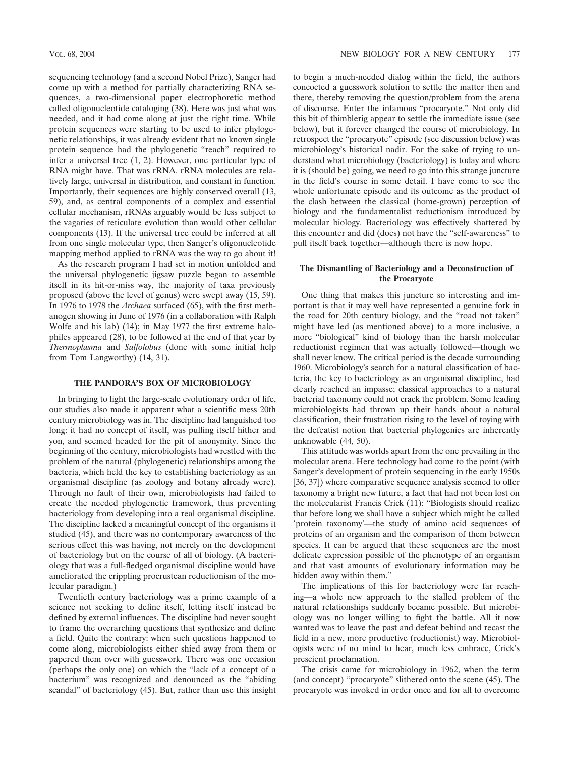sequencing technology (and a second Nobel Prize), Sanger had come up with a method for partially characterizing RNA sequences, a two-dimensional paper electrophoretic method called oligonucleotide cataloging (38). Here was just what was needed, and it had come along at just the right time. While protein sequences were starting to be used to infer phylogenetic relationships, it was already evident that no known single protein sequence had the phylogenetic "reach" required to infer a universal tree (1, 2). However, one particular type of RNA might have. That was rRNA. rRNA molecules are relatively large, universal in distribution, and constant in function. Importantly, their sequences are highly conserved overall (13, 59), and, as central components of a complex and essential cellular mechanism, rRNAs arguably would be less subject to the vagaries of reticulate evolution than would other cellular components (13). If the universal tree could be inferred at all from one single molecular type, then Sanger's oligonucleotide mapping method applied to rRNA was the way to go about it!

As the research program I had set in motion unfolded and the universal phylogenetic jigsaw puzzle began to assemble itself in its hit-or-miss way, the majority of taxa previously proposed (above the level of genus) were swept away (15, 59). In 1976 to 1978 the *Archaea* surfaced (65), with the first methanogen showing in June of 1976 (in a collaboration with Ralph Wolfe and his lab) (14); in May 1977 the first extreme halophiles appeared (28), to be followed at the end of that year by *Thermoplasma* and *Sulfolobus* (done with some initial help from Tom Langworthy) (14, 31).

## **THE PANDORA'S BOX OF MICROBIOLOGY**

In bringing to light the large-scale evolutionary order of life, our studies also made it apparent what a scientific mess 20th century microbiology was in. The discipline had languished too long: it had no concept of itself, was pulling itself hither and yon, and seemed headed for the pit of anonymity. Since the beginning of the century, microbiologists had wrestled with the problem of the natural (phylogenetic) relationships among the bacteria, which held the key to establishing bacteriology as an organismal discipline (as zoology and botany already were). Through no fault of their own, microbiologists had failed to create the needed phylogenetic framework, thus preventing bacteriology from developing into a real organismal discipline. The discipline lacked a meaningful concept of the organisms it studied (45), and there was no contemporary awareness of the serious effect this was having, not merely on the development of bacteriology but on the course of all of biology. (A bacteriology that was a full-fledged organismal discipline would have ameliorated the crippling procrustean reductionism of the molecular paradigm.)

Twentieth century bacteriology was a prime example of a science not seeking to define itself, letting itself instead be defined by external influences. The discipline had never sought to frame the overarching questions that synthesize and define a field. Quite the contrary: when such questions happened to come along, microbiologists either shied away from them or papered them over with guesswork. There was one occasion (perhaps the only one) on which the "lack of a concept of a bacterium" was recognized and denounced as the "abiding scandal" of bacteriology (45). But, rather than use this insight

to begin a much-needed dialog within the field, the authors concocted a guesswork solution to settle the matter then and there, thereby removing the question/problem from the arena of discourse. Enter the infamous "procaryote." Not only did this bit of thimblerig appear to settle the immediate issue (see below), but it forever changed the course of microbiology. In retrospect the "procaryote" episode (see discussion below) was microbiology's historical nadir. For the sake of trying to understand what microbiology (bacteriology) is today and where it is (should be) going, we need to go into this strange juncture in the field's course in some detail. I have come to see the whole unfortunate episode and its outcome as the product of the clash between the classical (home-grown) perception of biology and the fundamentalist reductionism introduced by molecular biology. Bacteriology was effectively shattered by this encounter and did (does) not have the "self-awareness" to pull itself back together—although there is now hope.

## **The Dismantling of Bacteriology and a Deconstruction of the Procaryote**

One thing that makes this juncture so interesting and important is that it may well have represented a genuine fork in the road for 20th century biology, and the "road not taken" might have led (as mentioned above) to a more inclusive, a more "biological" kind of biology than the harsh molecular reductionist regimen that was actually followed—though we shall never know. The critical period is the decade surrounding 1960. Microbiology's search for a natural classification of bacteria, the key to bacteriology as an organismal discipline, had clearly reached an impasse; classical approaches to a natural bacterial taxonomy could not crack the problem. Some leading microbiologists had thrown up their hands about a natural classification, their frustration rising to the level of toying with the defeatist notion that bacterial phylogenies are inherently unknowable (44, 50).

This attitude was worlds apart from the one prevailing in the molecular arena. Here technology had come to the point (with Sanger's development of protein sequencing in the early 1950s [36, 37]) where comparative sequence analysis seemed to offer taxonomy a bright new future, a fact that had not been lost on the molecularist Francis Crick (11): "Biologists should realize that before long we shall have a subject which might be called 'protein taxonomy'—the study of amino acid sequences of proteins of an organism and the comparison of them between species. It can be argued that these sequences are the most delicate expression possible of the phenotype of an organism and that vast amounts of evolutionary information may be hidden away within them."

The implications of this for bacteriology were far reaching—a whole new approach to the stalled problem of the natural relationships suddenly became possible. But microbiology was no longer willing to fight the battle. All it now wanted was to leave the past and defeat behind and recast the field in a new, more productive (reductionist) way. Microbiologists were of no mind to hear, much less embrace, Crick's prescient proclamation.

The crisis came for microbiology in 1962, when the term (and concept) "procaryote" slithered onto the scene (45). The procaryote was invoked in order once and for all to overcome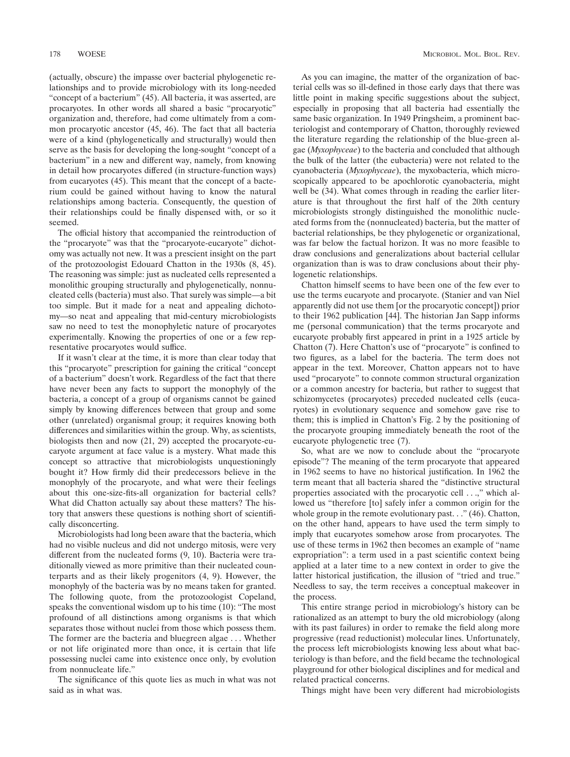(actually, obscure) the impasse over bacterial phylogenetic relationships and to provide microbiology with its long-needed "concept of a bacterium" (45). All bacteria, it was asserted, are procaryotes. In other words all shared a basic "procaryotic" organization and, therefore, had come ultimately from a common procaryotic ancestor (45, 46). The fact that all bacteria were of a kind (phylogenetically and structurally) would then serve as the basis for developing the long-sought "concept of a bacterium" in a new and different way, namely, from knowing in detail how procaryotes differed (in structure-function ways) from eucaryotes (45). This meant that the concept of a bacterium could be gained without having to know the natural relationships among bacteria. Consequently, the question of their relationships could be finally dispensed with, or so it seemed.

The official history that accompanied the reintroduction of the "procaryote" was that the "procaryote-eucaryote" dichotomy was actually not new. It was a prescient insight on the part of the protozoologist Edouard Chatton in the 1930s (8, 45). The reasoning was simple: just as nucleated cells represented a monolithic grouping structurally and phylogenetically, nonnucleated cells (bacteria) must also. That surely was simple—a bit too simple. But it made for a neat and appealing dichotomy—so neat and appealing that mid-century microbiologists saw no need to test the monophyletic nature of procaryotes experimentally. Knowing the properties of one or a few representative procaryotes would suffice.

If it wasn't clear at the time, it is more than clear today that this "procaryote" prescription for gaining the critical "concept of a bacterium" doesn't work. Regardless of the fact that there have never been any facts to support the monophyly of the bacteria, a concept of a group of organisms cannot be gained simply by knowing differences between that group and some other (unrelated) organismal group; it requires knowing both differences and similarities within the group. Why, as scientists, biologists then and now (21, 29) accepted the procaryote-eucaryote argument at face value is a mystery. What made this concept so attractive that microbiologists unquestioningly bought it? How firmly did their predecessors believe in the monophyly of the procaryote, and what were their feelings about this one-size-fits-all organization for bacterial cells? What did Chatton actually say about these matters? The history that answers these questions is nothing short of scientifically disconcerting.

Microbiologists had long been aware that the bacteria, which had no visible nucleus and did not undergo mitosis, were very different from the nucleated forms (9, 10). Bacteria were traditionally viewed as more primitive than their nucleated counterparts and as their likely progenitors (4, 9). However, the monophyly of the bacteria was by no means taken for granted. The following quote, from the protozoologist Copeland, speaks the conventional wisdom up to his time (10): "The most profound of all distinctions among organisms is that which separates those without nuclei from those which possess them. The former are the bacteria and bluegreen algae . . . Whether or not life originated more than once, it is certain that life possessing nuclei came into existence once only, by evolution from nonnucleate life."

The significance of this quote lies as much in what was not said as in what was.

As you can imagine, the matter of the organization of bacterial cells was so ill-defined in those early days that there was little point in making specific suggestions about the subject, especially in proposing that all bacteria had essentially the same basic organization. In 1949 Pringsheim, a prominent bacteriologist and contemporary of Chatton, thoroughly reviewed the literature regarding the relationship of the blue-green algae (*Myxophyceae*) to the bacteria and concluded that although the bulk of the latter (the eubacteria) were not related to the cyanobacteria (*Myxophyceae*), the myxobacteria, which microscopically appeared to be apochlorotic cyanobacteria, might well be  $(34)$ . What comes through in reading the earlier literature is that throughout the first half of the 20th century microbiologists strongly distinguished the monolithic nucleated forms from the (nonnucleated) bacteria, but the matter of bacterial relationships, be they phylogenetic or organizational, was far below the factual horizon. It was no more feasible to draw conclusions and generalizations about bacterial cellular organization than is was to draw conclusions about their phylogenetic relationships.

Chatton himself seems to have been one of the few ever to use the terms eucaryote and procaryote. (Stanier and van Niel apparently did not use them [or the procaryotic concept]) prior to their 1962 publication [44]. The historian Jan Sapp informs me (personal communication) that the terms procaryote and eucaryote probably first appeared in print in a 1925 article by Chatton (7). Here Chatton's use of "procaryote" is confined to two figures, as a label for the bacteria. The term does not appear in the text. Moreover, Chatton appears not to have used "procaryote" to connote common structural organization or a common ancestry for bacteria, but rather to suggest that schizomycetes (procaryotes) preceded nucleated cells (eucaryotes) in evolutionary sequence and somehow gave rise to them; this is implied in Chatton's Fig. 2 by the positioning of the procaryote grouping immediately beneath the root of the eucaryote phylogenetic tree (7).

So, what are we now to conclude about the "procaryote episode"? The meaning of the term procaryote that appeared in 1962 seems to have no historical justification. In 1962 the term meant that all bacteria shared the "distinctive structural properties associated with the procaryotic cell . . .," which allowed us "therefore [to] safely infer a common origin for the whole group in the remote evolutionary past. . ." (46). Chatton, on the other hand, appears to have used the term simply to imply that eucaryotes somehow arose from procaryotes. The use of these terms in 1962 then becomes an example of "name expropriation": a term used in a past scientific context being applied at a later time to a new context in order to give the latter historical justification, the illusion of "tried and true." Needless to say, the term receives a conceptual makeover in the process.

This entire strange period in microbiology's history can be rationalized as an attempt to bury the old microbiology (along with its past failures) in order to remake the field along more progressive (read reductionist) molecular lines. Unfortunately, the process left microbiologists knowing less about what bacteriology is than before, and the field became the technological playground for other biological disciplines and for medical and related practical concerns.

Things might have been very different had microbiologists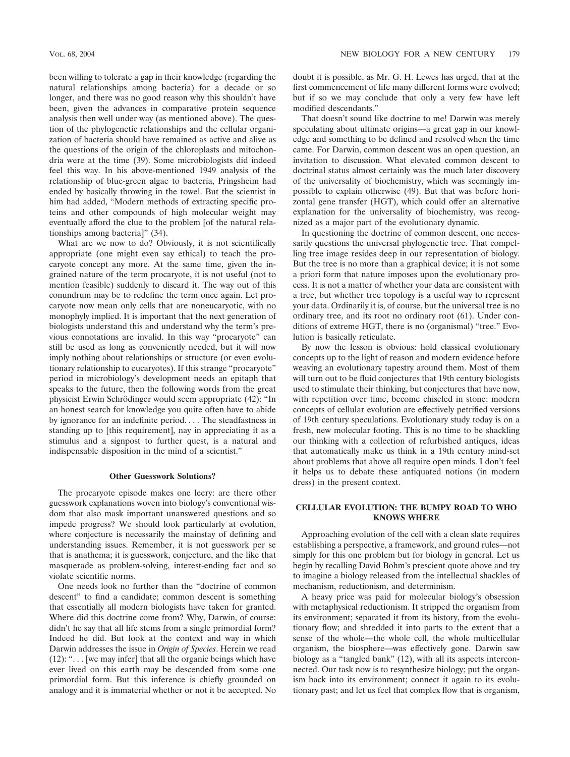been willing to tolerate a gap in their knowledge (regarding the natural relationships among bacteria) for a decade or so longer, and there was no good reason why this shouldn't have been, given the advances in comparative protein sequence analysis then well under way (as mentioned above). The question of the phylogenetic relationships and the cellular organization of bacteria should have remained as active and alive as the questions of the origin of the chloroplasts and mitochondria were at the time (39). Some microbiologists did indeed feel this way. In his above-mentioned 1949 analysis of the relationship of blue-green algae to bacteria, Pringsheim had ended by basically throwing in the towel. But the scientist in him had added, "Modern methods of extracting specific proteins and other compounds of high molecular weight may eventually afford the clue to the problem [of the natural relationships among bacteria]" (34).

What are we now to do? Obviously, it is not scientifically appropriate (one might even say ethical) to teach the procaryote concept any more. At the same time, given the ingrained nature of the term procaryote, it is not useful (not to mention feasible) suddenly to discard it. The way out of this conundrum may be to redefine the term once again. Let procaryote now mean only cells that are noneucaryotic, with no monophyly implied. It is important that the next generation of biologists understand this and understand why the term's previous connotations are invalid. In this way "procaryote" can still be used as long as conveniently needed, but it will now imply nothing about relationships or structure (or even evolutionary relationship to eucaryotes). If this strange "procaryote" period in microbiology's development needs an epitaph that speaks to the future, then the following words from the great physicist Erwin Schrödinger would seem appropriate (42): "In an honest search for knowledge you quite often have to abide by ignorance for an indefinite period. . . . The steadfastness in standing up to [this requirement], nay in appreciating it as a stimulus and a signpost to further quest, is a natural and indispensable disposition in the mind of a scientist."

#### **Other Guesswork Solutions?**

The procaryote episode makes one leery: are there other guesswork explanations woven into biology's conventional wisdom that also mask important unanswered questions and so impede progress? We should look particularly at evolution, where conjecture is necessarily the mainstay of defining and understanding issues. Remember, it is not guesswork per se that is anathema; it is guesswork, conjecture, and the like that masquerade as problem-solving, interest-ending fact and so violate scientific norms.

One needs look no further than the "doctrine of common descent" to find a candidate; common descent is something that essentially all modern biologists have taken for granted. Where did this doctrine come from? Why, Darwin, of course: didn't he say that all life stems from a single primordial form? Indeed he did. But look at the context and way in which Darwin addresses the issue in *Origin of Species*. Herein we read  $(12)$ : "... [we may infer] that all the organic beings which have ever lived on this earth may be descended from some one primordial form. But this inference is chiefly grounded on analogy and it is immaterial whether or not it be accepted. No

doubt it is possible, as Mr. G. H. Lewes has urged, that at the first commencement of life many different forms were evolved; but if so we may conclude that only a very few have left modified descendants."

That doesn't sound like doctrine to me! Darwin was merely speculating about ultimate origins—a great gap in our knowledge and something to be defined and resolved when the time came. For Darwin, common descent was an open question, an invitation to discussion. What elevated common descent to doctrinal status almost certainly was the much later discovery of the universality of biochemistry, which was seemingly impossible to explain otherwise (49). But that was before horizontal gene transfer (HGT), which could offer an alternative explanation for the universality of biochemistry, was recognized as a major part of the evolutionary dynamic.

In questioning the doctrine of common descent, one necessarily questions the universal phylogenetic tree. That compelling tree image resides deep in our representation of biology. But the tree is no more than a graphical device; it is not some a priori form that nature imposes upon the evolutionary process. It is not a matter of whether your data are consistent with a tree, but whether tree topology is a useful way to represent your data. Ordinarily it is, of course, but the universal tree is no ordinary tree, and its root no ordinary root (61). Under conditions of extreme HGT, there is no (organismal) "tree." Evolution is basically reticulate.

By now the lesson is obvious: hold classical evolutionary concepts up to the light of reason and modern evidence before weaving an evolutionary tapestry around them. Most of them will turn out to be fluid conjectures that 19th century biologists used to stimulate their thinking, but conjectures that have now, with repetition over time, become chiseled in stone: modern concepts of cellular evolution are effectively petrified versions of 19th century speculations. Evolutionary study today is on a fresh, new molecular footing. This is no time to be shackling our thinking with a collection of refurbished antiques, ideas that automatically make us think in a 19th century mind-set about problems that above all require open minds. I don't feel it helps us to debate these antiquated notions (in modern dress) in the present context.

## **CELLULAR EVOLUTION: THE BUMPY ROAD TO WHO KNOWS WHERE**

Approaching evolution of the cell with a clean slate requires establishing a perspective, a framework, and ground rules—not simply for this one problem but for biology in general. Let us begin by recalling David Bohm's prescient quote above and try to imagine a biology released from the intellectual shackles of mechanism, reductionism, and determinism.

A heavy price was paid for molecular biology's obsession with metaphysical reductionism. It stripped the organism from its environment; separated it from its history, from the evolutionary flow; and shredded it into parts to the extent that a sense of the whole—the whole cell, the whole multicellular organism, the biosphere—was effectively gone. Darwin saw biology as a "tangled bank" (12), with all its aspects interconnected. Our task now is to resynthesize biology; put the organism back into its environment; connect it again to its evolutionary past; and let us feel that complex flow that is organism,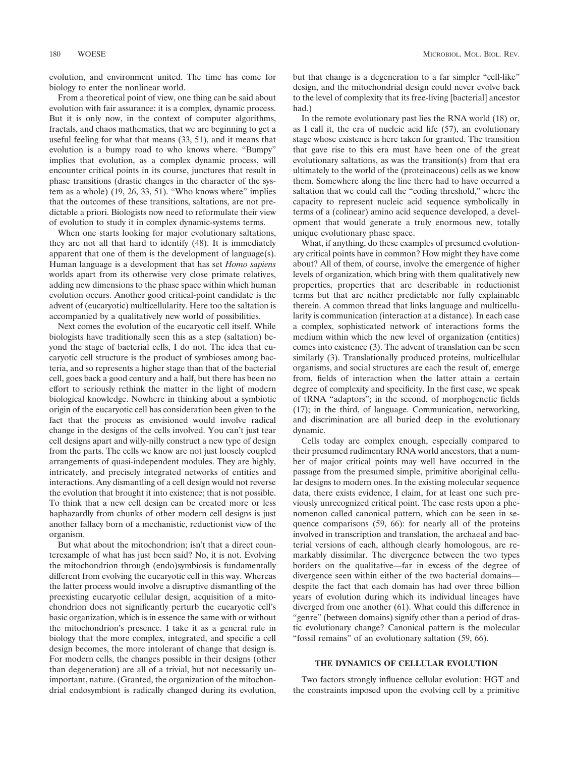evolution, and environment united. The time has come for biology to enter the nonlinear world.

From a theoretical point of view, one thing can be said about evolution with fair assurance: it is a complex, dynamic process. But it is only now, in the context of computer algorithms, fractals, and chaos mathematics, that we are beginning to get a useful feeling for what that means (33, 51), and it means that evolution is a bumpy road to who knows where. "Bumpy" implies that evolution, as a complex dynamic process, will encounter critical points in its course, junctures that result in phase transitions (drastic changes in the character of the system as a whole) (19, 26, 33, 51). "Who knows where" implies that the outcomes of these transitions, saltations, are not predictable a priori. Biologists now need to reformulate their view of evolution to study it in complex dynamic-systems terms.

When one starts looking for major evolutionary saltations, they are not all that hard to identify (48). It is immediately apparent that one of them is the development of language(s). Human language is a development that has set *Homo sapiens* worlds apart from its otherwise very close primate relatives, adding new dimensions to the phase space within which human evolution occurs. Another good critical-point candidate is the advent of (eucaryotic) multicellularity. Here too the saltation is accompanied by a qualitatively new world of possibilities.

Next comes the evolution of the eucaryotic cell itself. While biologists have traditionally seen this as a step (saltation) beyond the stage of bacterial cells, I do not. The idea that eucaryotic cell structure is the product of symbioses among bacteria, and so represents a higher stage than that of the bacterial cell, goes back a good century and a half, but there has been no effort to seriously rethink the matter in the light of modern biological knowledge. Nowhere in thinking about a symbiotic origin of the eucaryotic cell has consideration been given to the fact that the process as envisioned would involve radical change in the designs of the cells involved. You can't just tear cell designs apart and willy-nilly construct a new type of design from the parts. The cells we know are not just loosely coupled arrangements of quasi-independent modules. They are highly, intricately, and precisely integrated networks of entities and interactions. Any dismantling of a cell design would not reverse the evolution that brought it into existence; that is not possible. To think that a new cell design can be created more or less haphazardly from chunks of other modern cell designs is just another fallacy born of a mechanistic, reductionist view of the organism.

But what about the mitochondrion; isn't that a direct counterexample of what has just been said? No, it is not. Evolving the mitochondrion through (endo)symbiosis is fundamentally different from evolving the eucaryotic cell in this way. Whereas the latter process would involve a disruptive dismantling of the preexisting eucaryotic cellular design, acquisition of a mitochondrion does not significantly perturb the eucaryotic cell's basic organization, which is in essence the same with or without the mitochondrion's presence. I take it as a general rule in biology that the more complex, integrated, and specific a cell design becomes, the more intolerant of change that design is. For modern cells, the changes possible in their designs (other than degeneration) are all of a trivial, but not necessarily unimportant, nature. (Granted, the organization of the mitochondrial endosymbiont is radically changed during its evolution, but that change is a degeneration to a far simpler "cell-like" design, and the mitochondrial design could never evolve back to the level of complexity that its free-living [bacterial] ancestor had.)

In the remote evolutionary past lies the RNA world (18) or, as I call it, the era of nucleic acid life (57), an evolutionary stage whose existence is here taken for granted. The transition that gave rise to this era must have been one of the great evolutionary saltations, as was the transition(s) from that era ultimately to the world of the (proteinaceous) cells as we know them. Somewhere along the line there had to have occurred a saltation that we could call the "coding threshold," where the capacity to represent nucleic acid sequence symbolically in terms of a (colinear) amino acid sequence developed, a development that would generate a truly enormous new, totally unique evolutionary phase space.

What, if anything, do these examples of presumed evolutionary critical points have in common? How might they have come about? All of them, of course, involve the emergence of higher levels of organization, which bring with them qualitatively new properties, properties that are describable in reductionist terms but that are neither predictable nor fully explainable therein. A common thread that links language and multicellularity is communication (interaction at a distance). In each case a complex, sophisticated network of interactions forms the medium within which the new level of organization (entities) comes into existence (3). The advent of translation can be seen similarly (3). Translationally produced proteins, multicellular organisms, and social structures are each the result of, emerge from, fields of interaction when the latter attain a certain degree of complexity and specificity. In the first case, we speak of tRNA "adaptors"; in the second, of morphogenetic fields (17); in the third, of language. Communication, networking, and discrimination are all buried deep in the evolutionary dynamic.

Cells today are complex enough, especially compared to their presumed rudimentary RNA world ancestors, that a number of major critical points may well have occurred in the passage from the presumed simple, primitive aboriginal cellular designs to modern ones. In the existing molecular sequence data, there exists evidence, I claim, for at least one such previously unrecognized critical point. The case rests upon a phenomenon called canonical pattern, which can be seen in sequence comparisons (59, 66): for nearly all of the proteins involved in transcription and translation, the archaeal and bacterial versions of each, although clearly homologous, are remarkably dissimilar. The divergence between the two types borders on the qualitative—far in excess of the degree of divergence seen within either of the two bacterial domains despite the fact that each domain has had over three billion years of evolution during which its individual lineages have diverged from one another (61). What could this difference in "genre" (between domains) signify other than a period of drastic evolutionary change? Canonical pattern is the molecular "fossil remains" of an evolutionary saltation (59, 66).

## **THE DYNAMICS OF CELLULAR EVOLUTION**

Two factors strongly influence cellular evolution: HGT and the constraints imposed upon the evolving cell by a primitive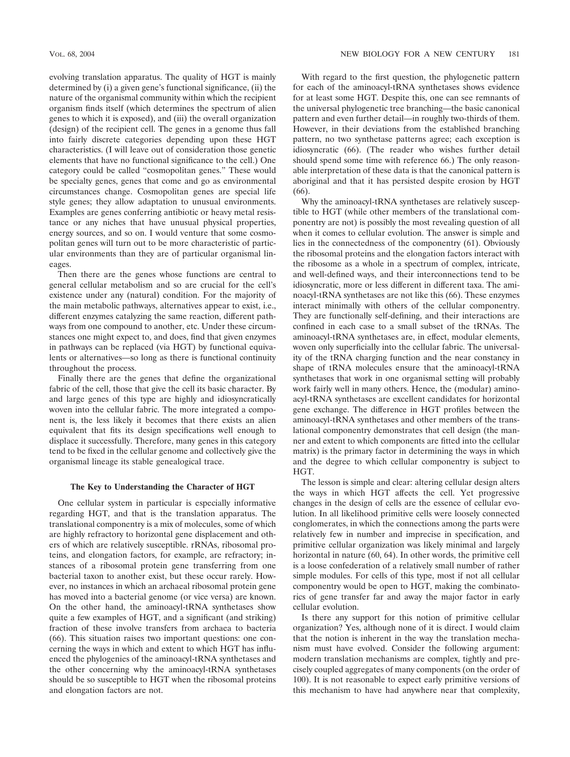evolving translation apparatus. The quality of HGT is mainly determined by (i) a given gene's functional significance, (ii) the nature of the organismal community within which the recipient organism finds itself (which determines the spectrum of alien genes to which it is exposed), and (iii) the overall organization (design) of the recipient cell. The genes in a genome thus fall into fairly discrete categories depending upon these HGT characteristics. (I will leave out of consideration those genetic elements that have no functional significance to the cell.) One category could be called "cosmopolitan genes." These would be specialty genes, genes that come and go as environmental circumstances change. Cosmopolitan genes are special life style genes; they allow adaptation to unusual environments. Examples are genes conferring antibiotic or heavy metal resistance or any niches that have unusual physical properties, energy sources, and so on. I would venture that some cosmopolitan genes will turn out to be more characteristic of particular environments than they are of particular organismal lineages.

Then there are the genes whose functions are central to general cellular metabolism and so are crucial for the cell's existence under any (natural) condition. For the majority of the main metabolic pathways, alternatives appear to exist, i.e., different enzymes catalyzing the same reaction, different pathways from one compound to another, etc. Under these circumstances one might expect to, and does, find that given enzymes in pathways can be replaced (via HGT) by functional equivalents or alternatives—so long as there is functional continuity throughout the process.

Finally there are the genes that define the organizational fabric of the cell, those that give the cell its basic character. By and large genes of this type are highly and idiosyncratically woven into the cellular fabric. The more integrated a component is, the less likely it becomes that there exists an alien equivalent that fits its design specifications well enough to displace it successfully. Therefore, many genes in this category tend to be fixed in the cellular genome and collectively give the organismal lineage its stable genealogical trace.

## **The Key to Understanding the Character of HGT**

One cellular system in particular is especially informative regarding HGT, and that is the translation apparatus. The translational componentry is a mix of molecules, some of which are highly refractory to horizontal gene displacement and others of which are relatively susceptible. rRNAs, ribosomal proteins, and elongation factors, for example, are refractory; instances of a ribosomal protein gene transferring from one bacterial taxon to another exist, but these occur rarely. However, no instances in which an archaeal ribosomal protein gene has moved into a bacterial genome (or vice versa) are known. On the other hand, the aminoacyl-tRNA synthetases show quite a few examples of HGT, and a significant (and striking) fraction of these involve transfers from archaea to bacteria (66). This situation raises two important questions: one concerning the ways in which and extent to which HGT has influenced the phylogenies of the aminoacyl-tRNA synthetases and the other concerning why the aminoacyl-tRNA synthetases should be so susceptible to HGT when the ribosomal proteins and elongation factors are not.

With regard to the first question, the phylogenetic pattern for each of the aminoacyl-tRNA synthetases shows evidence for at least some HGT. Despite this, one can see remnants of the universal phylogenetic tree branching—the basic canonical pattern and even further detail—in roughly two-thirds of them. However, in their deviations from the established branching pattern, no two synthetase patterns agree; each exception is idiosyncratic (66). (The reader who wishes further detail should spend some time with reference 66.) The only reasonable interpretation of these data is that the canonical pattern is aboriginal and that it has persisted despite erosion by HGT (66).

Why the aminoacyl-tRNA synthetases are relatively susceptible to HGT (while other members of the translational componentry are not) is possibly the most revealing question of all when it comes to cellular evolution. The answer is simple and lies in the connectedness of the componentry (61). Obviously the ribosomal proteins and the elongation factors interact with the ribosome as a whole in a spectrum of complex, intricate, and well-defined ways, and their interconnections tend to be idiosyncratic, more or less different in different taxa. The aminoacyl-tRNA synthetases are not like this (66). These enzymes interact minimally with others of the cellular componentry. They are functionally self-defining, and their interactions are confined in each case to a small subset of the tRNAs. The aminoacyl-tRNA synthetases are, in effect, modular elements, woven only superficially into the cellular fabric. The universality of the tRNA charging function and the near constancy in shape of tRNA molecules ensure that the aminoacyl-tRNA synthetases that work in one organismal setting will probably work fairly well in many others. Hence, the (modular) aminoacyl-tRNA synthetases are excellent candidates for horizontal gene exchange. The difference in HGT profiles between the aminoacyl-tRNA synthetases and other members of the translational componentry demonstrates that cell design (the manner and extent to which components are fitted into the cellular matrix) is the primary factor in determining the ways in which and the degree to which cellular componentry is subject to HGT.

The lesson is simple and clear: altering cellular design alters the ways in which HGT affects the cell. Yet progressive changes in the design of cells are the essence of cellular evolution. In all likelihood primitive cells were loosely connected conglomerates, in which the connections among the parts were relatively few in number and imprecise in specification, and primitive cellular organization was likely minimal and largely horizontal in nature (60, 64). In other words, the primitive cell is a loose confederation of a relatively small number of rather simple modules. For cells of this type, most if not all cellular componentry would be open to HGT, making the combinatorics of gene transfer far and away the major factor in early cellular evolution.

Is there any support for this notion of primitive cellular organization? Yes, although none of it is direct. I would claim that the notion is inherent in the way the translation mechanism must have evolved. Consider the following argument: modern translation mechanisms are complex, tightly and precisely coupled aggregates of many components (on the order of 100). It is not reasonable to expect early primitive versions of this mechanism to have had anywhere near that complexity,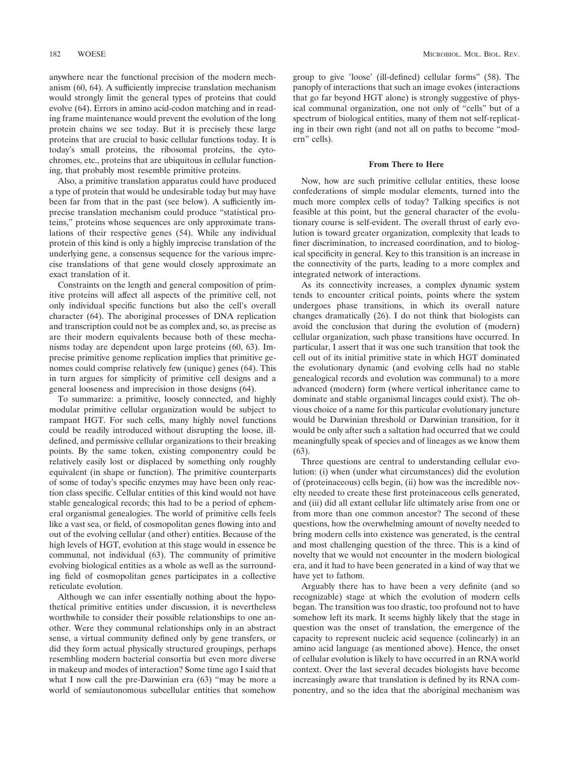anywhere near the functional precision of the modern mechanism (60, 64). A sufficiently imprecise translation mechanism would strongly limit the general types of proteins that could evolve (64). Errors in amino acid-codon matching and in reading frame maintenance would prevent the evolution of the long protein chains we see today. But it is precisely these large proteins that are crucial to basic cellular functions today. It is today's small proteins, the ribosomal proteins, the cytochromes, etc., proteins that are ubiquitous in cellular functioning, that probably most resemble primitive proteins.

Also, a primitive translation apparatus could have produced a type of protein that would be undesirable today but may have been far from that in the past (see below). A sufficiently imprecise translation mechanism could produce "statistical proteins," proteins whose sequences are only approximate translations of their respective genes (54). While any individual protein of this kind is only a highly imprecise translation of the underlying gene, a consensus sequence for the various imprecise translations of that gene would closely approximate an exact translation of it.

Constraints on the length and general composition of primitive proteins will affect all aspects of the primitive cell, not only individual specific functions but also the cell's overall character (64). The aboriginal processes of DNA replication and transcription could not be as complex and, so, as precise as are their modern equivalents because both of these mechanisms today are dependent upon large proteins (60, 63). Imprecise primitive genome replication implies that primitive genomes could comprise relatively few (unique) genes (64). This in turn argues for simplicity of primitive cell designs and a general looseness and imprecision in those designs (64).

To summarize: a primitive, loosely connected, and highly modular primitive cellular organization would be subject to rampant HGT. For such cells, many highly novel functions could be readily introduced without disrupting the loose, illdefined, and permissive cellular organizations to their breaking points. By the same token, existing componentry could be relatively easily lost or displaced by something only roughly equivalent (in shape or function). The primitive counterparts of some of today's specific enzymes may have been only reaction class specific. Cellular entities of this kind would not have stable genealogical records; this had to be a period of ephemeral organismal genealogies. The world of primitive cells feels like a vast sea, or field, of cosmopolitan genes flowing into and out of the evolving cellular (and other) entities. Because of the high levels of HGT, evolution at this stage would in essence be communal, not individual (63). The community of primitive evolving biological entities as a whole as well as the surrounding field of cosmopolitan genes participates in a collective reticulate evolution.

Although we can infer essentially nothing about the hypothetical primitive entities under discussion, it is nevertheless worthwhile to consider their possible relationships to one another. Were they communal relationships only in an abstract sense, a virtual community defined only by gene transfers, or did they form actual physically structured groupings, perhaps resembling modern bacterial consortia but even more diverse in makeup and modes of interaction? Some time ago I said that what I now call the pre-Darwinian era (63) "may be more a world of semiautonomous subcellular entities that somehow

group to give 'loose' (ill-defined) cellular forms" (58). The panoply of interactions that such an image evokes (interactions that go far beyond HGT alone) is strongly suggestive of physical communal organization, one not only of "cells" but of a spectrum of biological entities, many of them not self-replicating in their own right (and not all on paths to become "modern" cells).

## **From There to Here**

Now, how are such primitive cellular entities, these loose confederations of simple modular elements, turned into the much more complex cells of today? Talking specifics is not feasible at this point, but the general character of the evolutionary course is self-evident. The overall thrust of early evolution is toward greater organization, complexity that leads to finer discrimination, to increased coordination, and to biological specificity in general. Key to this transition is an increase in the connectivity of the parts, leading to a more complex and integrated network of interactions.

As its connectivity increases, a complex dynamic system tends to encounter critical points, points where the system undergoes phase transitions, in which its overall nature changes dramatically (26). I do not think that biologists can avoid the conclusion that during the evolution of (modern) cellular organization, such phase transitions have occurred. In particular, I assert that it was one such transition that took the cell out of its initial primitive state in which HGT dominated the evolutionary dynamic (and evolving cells had no stable genealogical records and evolution was communal) to a more advanced (modern) form (where vertical inheritance came to dominate and stable organismal lineages could exist). The obvious choice of a name for this particular evolutionary juncture would be Darwinian threshold or Darwinian transition, for it would be only after such a saltation had occurred that we could meaningfully speak of species and of lineages as we know them (63).

Three questions are central to understanding cellular evolution: (i) when (under what circumstances) did the evolution of (proteinaceous) cells begin, (ii) how was the incredible novelty needed to create these first proteinaceous cells generated, and (iii) did all extant cellular life ultimately arise from one or from more than one common ancestor? The second of these questions, how the overwhelming amount of novelty needed to bring modern cells into existence was generated, is the central and most challenging question of the three. This is a kind of novelty that we would not encounter in the modern biological era, and it had to have been generated in a kind of way that we have yet to fathom.

Arguably there has to have been a very definite (and so recognizable) stage at which the evolution of modern cells began. The transition was too drastic, too profound not to have somehow left its mark. It seems highly likely that the stage in question was the onset of translation, the emergence of the capacity to represent nucleic acid sequence (colinearly) in an amino acid language (as mentioned above). Hence, the onset of cellular evolution is likely to have occurred in an RNA world context. Over the last several decades biologists have become increasingly aware that translation is defined by its RNA componentry, and so the idea that the aboriginal mechanism was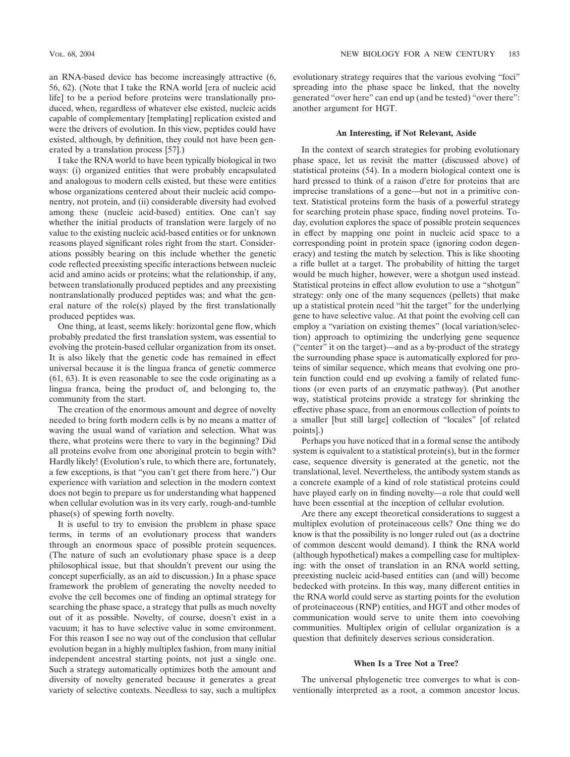an RNA-based device has become increasingly attractive (6, 56, 62). (Note that I take the RNA world [era of nucleic acid life] to be a period before proteins were translationally produced, when, regardless of whatever else existed, nucleic acids capable of complementary [templating] replication existed and were the drivers of evolution. In this view, peptides could have existed, although, by definition, they could not have been generated by a translation process [57].)

I take the RNA world to have been typically biological in two ways: (i) organized entities that were probably encapsulated and analogous to modern cells existed, but these were entities whose organizations centered about their nucleic acid componentry, not protein, and (ii) considerable diversity had evolved among these (nucleic acid-based) entities. One can't say whether the initial products of translation were largely of no value to the existing nucleic acid-based entities or for unknown reasons played significant roles right from the start. Considerations possibly bearing on this include whether the genetic code reflected preexisting specific interactions between nucleic acid and amino acids or proteins; what the relationship, if any, between translationally produced peptides and any preexisting nontranslationally produced peptides was; and what the general nature of the role(s) played by the first translationally produced peptides was.

One thing, at least, seems likely: horizontal gene flow, which probably predated the first translation system, was essential to evolving the protein-based cellular organization from its onset. It is also likely that the genetic code has remained in effect universal because it is the lingua franca of genetic commerce (61, 63). It is even reasonable to see the code originating as a lingua franca, being the product of, and belonging to, the community from the start.

The creation of the enormous amount and degree of novelty needed to bring forth modern cells is by no means a matter of waving the usual wand of variation and selection. What was there, what proteins were there to vary in the beginning? Did all proteins evolve from one aboriginal protein to begin with? Hardly likely! (Evolution's rule, to which there are, fortunately, a few exceptions, is that "you can't get there from here.") Our experience with variation and selection in the modern context does not begin to prepare us for understanding what happened when cellular evolution was in its very early, rough-and-tumble phase(s) of spewing forth novelty.

It is useful to try to envision the problem in phase space terms, in terms of an evolutionary process that wanders through an enormous space of possible protein sequences. (The nature of such an evolutionary phase space is a deep philosophical issue, but that shouldn't prevent our using the concept superficially, as an aid to discussion.) In a phase space framework the problem of generating the novelty needed to evolve the cell becomes one of finding an optimal strategy for searching the phase space, a strategy that pulls as much novelty out of it as possible. Novelty, of course, doesn't exist in a vacuum; it has to have selective value in some environment. For this reason I see no way out of the conclusion that cellular evolution began in a highly multiplex fashion, from many initial independent ancestral starting points, not just a single one. Such a strategy automatically optimizes both the amount and diversity of novelty generated because it generates a great variety of selective contexts. Needless to say, such a multiplex evolutionary strategy requires that the various evolving "foci" spreading into the phase space be linked, that the novelty generated "over here" can end up (and be tested) "over there": another argument for HGT.

#### **An Interesting, if Not Relevant, Aside**

In the context of search strategies for probing evolutionary phase space, let us revisit the matter (discussed above) of statistical proteins (54). In a modern biological context one is hard pressed to think of a raison d'etre for proteins that are imprecise translations of a gene—but not in a primitive context. Statistical proteins form the basis of a powerful strategy for searching protein phase space, finding novel proteins. Today, evolution explores the space of possible protein sequences in effect by mapping one point in nucleic acid space to a corresponding point in protein space (ignoring codon degeneracy) and testing the match by selection. This is like shooting a rifle bullet at a target. The probability of hitting the target would be much higher, however, were a shotgun used instead. Statistical proteins in effect allow evolution to use a "shotgun" strategy: only one of the many sequences (pellets) that make up a statistical protein need "hit the target" for the underlying gene to have selective value. At that point the evolving cell can employ a "variation on existing themes" (local variation/selection) approach to optimizing the underlying gene sequence ("center" it on the target)—and as a by-product of the strategy the surrounding phase space is automatically explored for proteins of similar sequence, which means that evolving one protein function could end up evolving a family of related functions (or even parts of an enzymatic pathway). (Put another way, statistical proteins provide a strategy for shrinking the effective phase space, from an enormous collection of points to a smaller [but still large] collection of "locales" [of related points].)

Perhaps you have noticed that in a formal sense the antibody system is equivalent to a statistical protein(s), but in the former case, sequence diversity is generated at the genetic, not the translational, level. Nevertheless, the antibody system stands as a concrete example of a kind of role statistical proteins could have played early on in finding novelty—a role that could well have been essential at the inception of cellular evolution.

Are there any except theoretical considerations to suggest a multiplex evolution of proteinaceous cells? One thing we do know is that the possibility is no longer ruled out (as a doctrine of common descent would demand). I think the RNA world (although hypothetical) makes a compelling case for multiplexing: with the onset of translation in an RNA world setting, preexisting nucleic acid-based entities can (and will) become bedecked with proteins. In this way, many different entities in the RNA world could serve as starting points for the evolution of proteinaceous (RNP) entities, and HGT and other modes of communication would serve to unite them into coevolving communities. Multiplex origin of cellular organization is a question that definitely deserves serious consideration.

## **When Is a Tree Not a Tree?**

The universal phylogenetic tree converges to what is conventionally interpreted as a root, a common ancestor locus.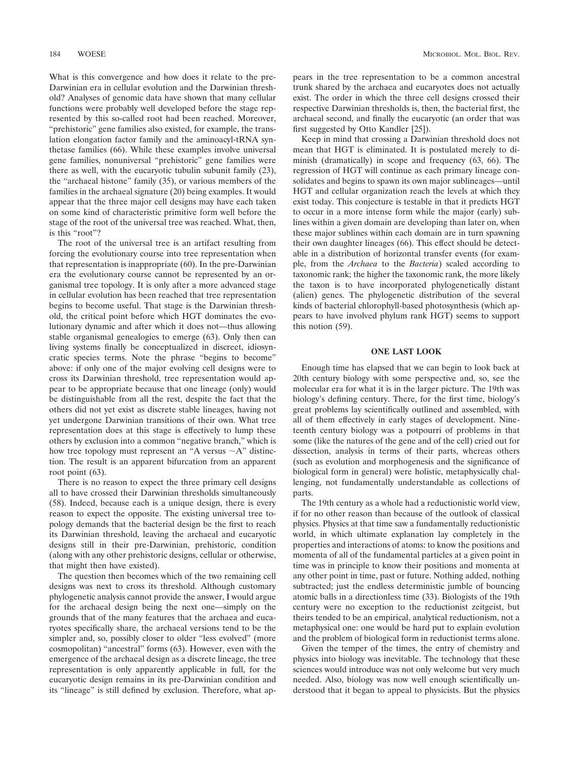What is this convergence and how does it relate to the pre-Darwinian era in cellular evolution and the Darwinian threshold? Analyses of genomic data have shown that many cellular functions were probably well developed before the stage represented by this so-called root had been reached. Moreover, "prehistoric" gene families also existed, for example, the translation elongation factor family and the aminoacyl-tRNA synthetase families (66). While these examples involve universal gene families, nonuniversal "prehistoric" gene families were there as well, with the eucaryotic tubulin subunit family (23), the "archaeal histone" family (35), or various members of the families in the archaeal signature (20) being examples. It would appear that the three major cell designs may have each taken on some kind of characteristic primitive form well before the stage of the root of the universal tree was reached. What, then, is this "root"?

The root of the universal tree is an artifact resulting from forcing the evolutionary course into tree representation when that representation is inappropriate (60). In the pre-Darwinian era the evolutionary course cannot be represented by an organismal tree topology. It is only after a more advanced stage in cellular evolution has been reached that tree representation begins to become useful. That stage is the Darwinian threshold, the critical point before which HGT dominates the evolutionary dynamic and after which it does not—thus allowing stable organismal genealogies to emerge (63). Only then can living systems finally be conceptualized in discreet, idiosyncratic species terms. Note the phrase "begins to become" above: if only one of the major evolving cell designs were to cross its Darwinian threshold, tree representation would appear to be appropriate because that one lineage (only) would be distinguishable from all the rest, despite the fact that the others did not yet exist as discrete stable lineages, having not yet undergone Darwinian transitions of their own. What tree representation does at this stage is effectively to lump these others by exclusion into a common "negative branch," which is how tree topology must represent an "A versus  $\sim A$ " distinction. The result is an apparent bifurcation from an apparent root point (63).

There is no reason to expect the three primary cell designs all to have crossed their Darwinian thresholds simultaneously (58). Indeed, because each is a unique design, there is every reason to expect the opposite. The existing universal tree topology demands that the bacterial design be the first to reach its Darwinian threshold, leaving the archaeal and eucaryotic designs still in their pre-Darwinian, prehistoric, condition (along with any other prehistoric designs, cellular or otherwise, that might then have existed).

The question then becomes which of the two remaining cell designs was next to cross its threshold. Although customary phylogenetic analysis cannot provide the answer, I would argue for the archaeal design being the next one—simply on the grounds that of the many features that the archaea and eucaryotes specifically share, the archaeal versions tend to be the simpler and, so, possibly closer to older "less evolved" (more cosmopolitan) "ancestral" forms (63). However, even with the emergence of the archaeal design as a discrete lineage, the tree representation is only apparently applicable in full, for the eucaryotic design remains in its pre-Darwinian condition and its "lineage" is still defined by exclusion. Therefore, what appears in the tree representation to be a common ancestral trunk shared by the archaea and eucaryotes does not actually exist. The order in which the three cell designs crossed their respective Darwinian thresholds is, then, the bacterial first, the archaeal second, and finally the eucaryotic (an order that was first suggested by Otto Kandler [25]).

Keep in mind that crossing a Darwinian threshold does not mean that HGT is eliminated. It is postulated merely to diminish (dramatically) in scope and frequency (63, 66). The regression of HGT will continue as each primary lineage consolidates and begins to spawn its own major sublineages—until HGT and cellular organization reach the levels at which they exist today. This conjecture is testable in that it predicts HGT to occur in a more intense form while the major (early) sublines within a given domain are developing than later on, when these major sublines within each domain are in turn spawning their own daughter lineages (66). This effect should be detectable in a distribution of horizontal transfer events (for example, from the *Archaea* to the *Bacteria*) scaled according to taxonomic rank; the higher the taxonomic rank, the more likely the taxon is to have incorporated phylogenetically distant (alien) genes. The phylogenetic distribution of the several kinds of bacterial chlorophyll-based photosynthesis (which appears to have involved phylum rank HGT) seems to support this notion (59).

## **ONE LAST LOOK**

Enough time has elapsed that we can begin to look back at 20th century biology with some perspective and, so, see the molecular era for what it is in the larger picture. The 19th was biology's defining century. There, for the first time, biology's great problems lay scientifically outlined and assembled, with all of them effectively in early stages of development. Nineteenth century biology was a potpourri of problems in that some (like the natures of the gene and of the cell) cried out for dissection, analysis in terms of their parts, whereas others (such as evolution and morphogenesis and the significance of biological form in general) were holistic, metaphysically challenging, not fundamentally understandable as collections of parts.

The 19th century as a whole had a reductionistic world view, if for no other reason than because of the outlook of classical physics. Physics at that time saw a fundamentally reductionistic world, in which ultimate explanation lay completely in the properties and interactions of atoms: to know the positions and momenta of all of the fundamental particles at a given point in time was in principle to know their positions and momenta at any other point in time, past or future. Nothing added, nothing subtracted; just the endless deterministic jumble of bouncing atomic balls in a directionless time (33). Biologists of the 19th century were no exception to the reductionist zeitgeist, but theirs tended to be an empirical, analytical reductionism, not a metaphysical one: one would be hard put to explain evolution and the problem of biological form in reductionist terms alone.

Given the temper of the times, the entry of chemistry and physics into biology was inevitable. The technology that these sciences would introduce was not only welcome but very much needed. Also, biology was now well enough scientifically understood that it began to appeal to physicists. But the physics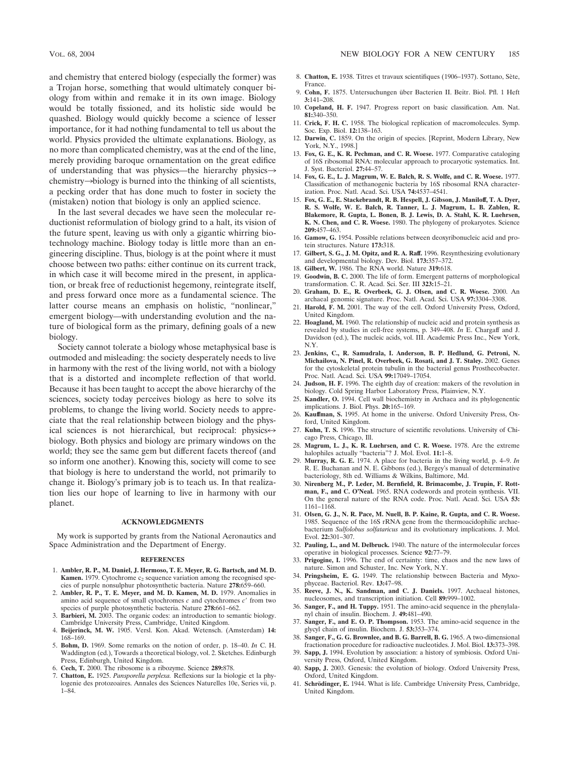and chemistry that entered biology (especially the former) was a Trojan horse, something that would ultimately conquer biology from within and remake it in its own image. Biology would be totally fissioned, and its holistic side would be quashed. Biology would quickly become a science of lesser importance, for it had nothing fundamental to tell us about the world. Physics provided the ultimate explanations. Biology, as no more than complicated chemistry, was at the end of the line, merely providing baroque ornamentation on the great edifice of understanding that was physics—the hierarchy physics $\rightarrow$  $chemistry \rightarrow} biology$  is burned into the thinking of all scientists, a pecking order that has done much to foster in society the (mistaken) notion that biology is only an applied science.

In the last several decades we have seen the molecular reductionist reformulation of biology grind to a halt, its vision of the future spent, leaving us with only a gigantic whirring biotechnology machine. Biology today is little more than an engineering discipline. Thus, biology is at the point where it must choose between two paths: either continue on its current track, in which case it will become mired in the present, in application, or break free of reductionist hegemony, reintegrate itself, and press forward once more as a fundamental science. The latter course means an emphasis on holistic, "nonlinear," emergent biology—with understanding evolution and the nature of biological form as the primary, defining goals of a new biology.

Society cannot tolerate a biology whose metaphysical base is outmoded and misleading: the society desperately needs to live in harmony with the rest of the living world, not with a biology that is a distorted and incomplete reflection of that world. Because it has been taught to accept the above hierarchy of the sciences, society today perceives biology as here to solve its problems, to change the living world. Society needs to appreciate that the real relationship between biology and the physical sciences is not hierarchical, but reciprocal: physics $\leftrightarrow$ biology. Both physics and biology are primary windows on the world; they see the same gem but different facets thereof (and so inform one another). Knowing this, society will come to see that biology is here to understand the world, not primarily to change it. Biology's primary job is to teach us. In that realization lies our hope of learning to live in harmony with our planet.

#### **ACKNOWLEDGMENTS**

My work is supported by grants from the National Aeronautics and Space Administration and the Department of Energy.

#### **REFERENCES**

- 1. **Ambler, R. P., M. Daniel, J. Hermoso, T. E. Meyer, R. G. Bartsch, and M. D. Kamen.** 1979. Cytochrome  $c_2$  sequence variation among the recognised species of purple nonsulphur photosynthetic bacteria. Nature **278:**659–660.
- 2. **Ambler, R. P., T. E. Meyer, and M. D. Kamen, M. D.** 1979. Anomalies in amino acid sequence of small cytochromes *c* and cytochromes *c'* from two species of purple photosynthetic bacteria. Nature **278:**661–662.
- 3. **Barbieri, M.** 2003. The organic codes: an introduction to semantic biology. Cambridge University Press, Cambridge, United Kingdom.
- 4. **Beijerinck, M. W.** 1905. Versl. Kon. Akad. Wetensch. (Amsterdam) **14:** 168–169.
- 5. **Bohm, D.** 1969. Some remarks on the notion of order, p. 18–40. *In* C. H. Waddington (ed.), Towards a theoretical biology, vol. 2. Sketches. Edinburgh Press, Edinburgh, United Kingdom.
- 6. **Cech, T.** 2000. The ribosome is a ribozyme. Science **289:**878.
- 7. **Chatton, E.** 1925. *Pansporella perplexa.* Reflexions sur la biologie et la phylogenie des protozoaires. Annales des Sciences Naturelles 10e, Series vii, p. 1–84.
- 8. Chatton, E. 1938. Titres et travaux scientifiques (1906-1937). Sottano, Sète, France.
- 9. Cohn, F. 1875. Untersuchungen über Bacterien II. Beitr. Biol. Pfl. 1 Heft **3:**141–208.
- 10. **Copeland, H. F.** 1947. Progress report on basic classification. Am. Nat. **81:**340–350.
- 11. **Crick, F. H. C.** 1958. The biological replication of macromolecules. Symp. Soc. Exp. Biol. **12:**138–163.
- 12. **Darwin, C.** 1859. On the origin of species. [Reprint, Modern Library, New York, N.Y., 1998.]
- 13. **Fox, G. E., K. R. Pechman, and C. R. Woese.** 1977. Comparative cataloging of 16S ribosomal RNA: molecular approach to procaryotic systematics. Int. J. Syst. Bacteriol. **27:**44–57.
- 14. **Fox, G. E., L. J. Magrum, W. E. Balch, R. S. Wolfe, and C. R. Woese.** 1977. Classification of methanogenic bacteria by 16S ribosomal RNA characterization. Proc. Natl. Acad. Sci. USA **74:**4537–4541.
- 15. **Fox, G. E., E. Stackebrandt, R. B. Hespell, J. Gibson, J. Maniloff, T. A. Dyer, R. S. Wolfe, W. E. Balch, R. Tanner, L. J. Magrum, L. B. Zablen, R. Blakemore, R. Gupta, L. Bonen, B. J. Lewis, D. A. Stahl, K. R. Luehrsen, K. N. Chen, and C. R. Woese.** 1980. The phylogeny of prokaryotes. Science **209:**457–463.
- 16. **Gamow, G.** 1954. Possible relations between deoxyribonucleic acid and protein structures. Nature **173:**318.
- 17. **Gilbert, S. G., J. M. Opitz, and R. A. Raff.** 1996. Resynthesizing evolutionary and developmental biology. Dev. Biol. **173:**357–372.
- 18. **Gilbert, W.** 1986. The RNA world. Nature **319:**618.
- 19. **Goodwin, B. C.** 2000. The life of form. Emergent patterns of morphological transformation. C. R. Acad. Sci. Ser. III **323:**15–21.
- 20. **Graham, D. E., R. Overbeek, G. J. Olsen, and C. R. Woese.** 2000. An archaeal genomic signature. Proc. Natl. Acad. Sci. USA **97:**3304–3308.
- 21. **Harold, F. M.** 2001. The way of the cell. Oxford University Press, Oxford, United Kingdom.
- 22. **Hoagland, M.** 1960. The relationship of nucleic acid and protein synthesis as revealed by studies in cell-free systems, p. 349–408. *In* E. Chargaff and J. Davidson (ed.), The nucleic acids, vol. III. Academic Press Inc., New York, N.Y.
- 23. **Jenkins, C., R. Samudrala, I. Anderson, B. P. Hedlund, G. Petroni, N. Michailova, N. Pinel, R. Overbeek, G. Rosati, and J. T. Staley.** 2002. Genes for the cytoskeletal protein tubulin in the bacterial genus Prosthecobacter. Proc. Natl. Acad. Sci. USA **99:**17049–17054.
- 24. **Judson, H. F.** 1996. The eighth day of creation: makers of the revolution in biology. Cold Spring Harbor Laboratory Press, Plainview, N.Y.
- 25. **Kandler, O.** 1994. Cell wall biochemistry in Archaea and its phylogenentic implications. J. Biol. Phys. **20:**165–169.
- 26. **Kauffman, S.** 1995. At home in the universe. Oxford University Press, Oxford, United Kingdom.
- 27. **Kuhn, T. S.** 1996. The structure of scientific revolutions. University of Chicago Press, Chicago, Ill.
- 28. **Magrum, L. J., K. R. Luehrsen, and C. R. Woese.** 1978. Are the extreme halophiles actually "bacteria"? J. Mol. Evol. **11:**1–8.
- 29. **Murray, R. G. E.** 1974. A place for bacteria in the living world, p. 4–9. *In* R. E. Buchanan and N. E. Gibbons (ed.), Bergey's manual of determinative bacteriology, 8th ed. Williams & Wilkins, Baltimore, Md.
- 30. **Nirenberg M., P. Leder, M. Bernfield, R. Brimacombe, J. Trupin, F. Rottman, F., and C. O'Neal.** 1965. RNA codewords and protein synthesis. VII. On the general nature of the RNA code. Proc. Natl. Acad. Sci. USA **53:** 1161–1168.
- 31. **Olsen, G. J., N. R. Pace, M. Nuell, B. P. Kaine, R. Gupta, and C. R. Woese.** 1985. Sequence of the 16S rRNA gene from the thermoacidophilic archaebacterium *Sulfolobus solfataricus* and its evolutionary implications. J. Mol. Evol. **22:**301–307.
- 32. **Pauling, L., and M. Delbruck.** 1940. The nature of the intermolecular forces operative in biological processes. Science **92:**77–79.
- 33. **Prigogine, I.** 1996. The end of certainty: time, chaos and the new laws of nature. Simon and Schuster, Inc. New York, N.Y.
- 34. **Pringsheim, E. G.** 1949. The relationship between Bacteria and Myxophyceae. Bacteriol. Rev. **13:**47–98.
- 35. **Reeve, J. N., K. Sandman, and C. J. Daniels.** 1997. Archaeal histones, nucleosomes, and transcription initiation. Cell **89:**999–1002.
- 36. **Sanger, F., and H. Tuppy.** 1951. The amino-acid sequence in the phenylalanyl chain of insulin. Biochem. J. **49:**481–490.
- 37. **Sanger, F., and E. O. P. Thompson.** 1953. The amino-acid sequence in the glycyl chain of insulin. Biochem. J. **53:**353–374.
- 38. **Sanger, F., G. G. Brownlee, and B. G. Barrell, B. G.** 1965. A two-dimensional fractionation procedure for radioactive nucleotides. J. Mol. Biol. **13:**373–398.
- 39. **Sapp, J.** 1994. Evolution by association: a history of symbiosis. Oxford University Press, Oxford, United Kingdom.
- 40. **Sapp, J.** 2003. Genesis: the evolution of biology. Oxford University Press, Oxford, United Kingdom.
- 41. Schrödinger, E. 1944. What is life. Cambridge University Press, Cambridge, United Kingdom.